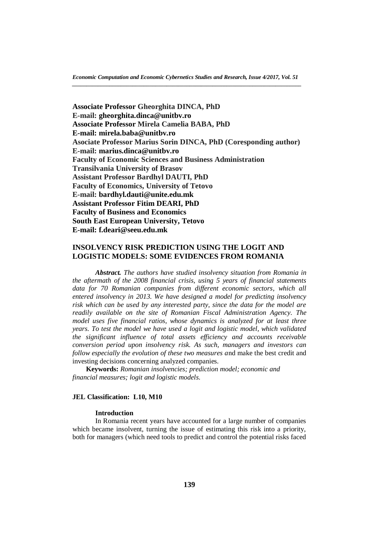**Associate Professor Gheorghita DINCA, PhD E-mail: [gheorghita.dinca@unitbv.ro](mailto:gheorghita.dinca@unitbv.ro) Associate Professor Mirela Camelia BABA, PhD E-mail: [mirela.baba@unitbv.ro](mailto:mirela.baba@unitbv.ro) Asociate Professor Marius Sorin DINCA, PhD (Coresponding author) E-mail: [marius.dinca@unitbv.ro](mailto:marius.dinca@unitbv.ro) Faculty of Economic Sciences and Business Administration Transilvania University of Brasov Assistant Professor Bardhyl DAUTI, PhD Faculty of Economics, University of Tetovo E-mail: [bardhyl.dauti@unite.edu.mk](mailto:bardhyl.dauti@unite.edu.mk) Assistant Professor Fitim DEARI, PhD Faculty of Business and Economics South East European University, Tetovo E-mail: [f.deari@seeu.edu.mk](mailto:f.deari@seeu.edu.mk)**

# **INSOLVENCY RISK PREDICTION USING THE LOGIT AND LOGISTIC MODELS: SOME EVIDENCES FROM ROMANIA**

*Abstract. The authors have studied insolvency situation from Romania in the aftermath of the 2008 financial crisis, using 5 years of financial statements data for 70 Romanian companies from different economic sectors, which all entered insolvency in 2013. We have designed a model for predicting insolvency risk which can be used by any interested party, since the data for the model are readily available on the site of Romanian Fiscal Administration Agency. The model uses five financial ratios, whose dynamics is analyzed for at least three years. To test the model we have used a logit and logistic model, which validated the significant influence of total assets efficiency and accounts receivable conversion period upon insolvency risk. As such, managers and investors can follow especially the evolution of these two measures a*nd make the best credit and investing decisions concerning analyzed companies.

**Keywords:** *Romanian insolvencies; prediction model; economic and financial measures; logit and logistic models.*

### **JEL Classification: L10, M10**

### **Introduction**

In Romania recent years have accounted for a large number of companies which became insolvent, turning the issue of estimating this risk into a priority, both for managers (which need tools to predict and control the potential risks faced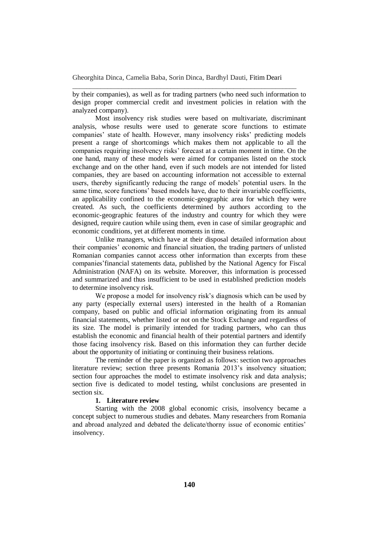\_\_\_\_\_\_\_\_\_\_\_\_\_\_\_\_\_\_\_\_\_\_\_\_\_\_\_\_\_\_\_\_\_\_\_\_\_\_\_\_\_\_\_\_\_\_\_\_\_\_\_\_\_\_\_\_\_\_\_\_\_\_\_\_

by their companies), as well as for trading partners (who need such information to design proper commercial credit and investment policies in relation with the analyzed company).

Most insolvency risk studies were based on multivariate, discriminant analysis, whose results were used to generate score functions to estimate companies' state of health. However, many insolvency risks' predicting models present a range of shortcomings which makes them not applicable to all the companies requiring insolvency risks' forecast at a certain moment in time. On the one hand, many of these models were aimed for companies listed on the stock exchange and on the other hand, even if such models are not intended for listed companies, they are based on accounting information not accessible to external users, thereby significantly reducing the range of models' potential users. In the same time, score functions' based models have, due to their invariable coefficients, an applicability confined to the economic-geographic area for which they were created. As such, the coefficients determined by authors according to the economic-geographic features of the industry and country for which they were designed, require caution while using them, even in case of similar geographic and economic conditions, yet at different moments in time.

Unlike managers, which have at their disposal detailed information about their companies' economic and financial situation, the trading partners of unlisted Romanian companies cannot access other information than excerpts from these companies'financial statements data, published by the National Agency for Fiscal Administration (NAFA) on its website. Moreover, this information is processed and summarized and thus insufficient to be used in established prediction models to determine insolvency risk.

We propose a model for insolvency risk's diagnosis which can be used by any party (especially external users) interested in the health of a Romanian company, based on public and official information originating from its annual financial statements, whether listed or not on the Stock Exchange and regardless of its size. The model is primarily intended for trading partners, who can thus establish the economic and financial health of their potential partners and identify those facing insolvency risk. Based on this information they can further decide about the opportunity of initiating or continuing their business relations.

The reminder of the paper is organized as follows: section two approaches literature review; section three presents Romania 2013's insolvency situation; section four approaches the model to estimate insolvency risk and data analysis; section five is dedicated to model testing, whilst conclusions are presented in section six.

# **1. Literature review**

Starting with the 2008 global economic crisis, insolvency became a concept subject to numerous studies and debates. Many researchers from Romania and abroad analyzed and debated the delicate/thorny issue of economic entities' insolvency.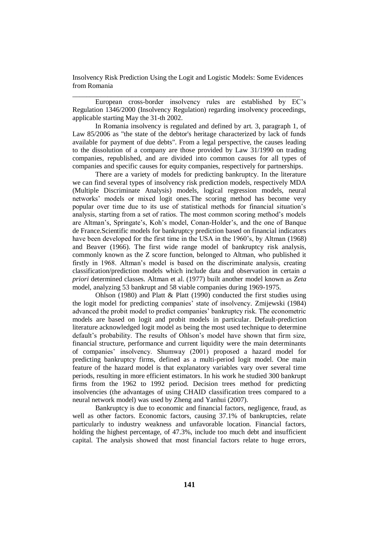\_\_\_\_\_\_\_\_\_\_\_\_\_\_\_\_\_\_\_\_\_\_\_\_\_\_\_\_\_\_\_\_\_\_\_\_\_\_\_\_\_\_\_\_\_\_\_\_\_\_\_\_\_\_\_\_\_\_\_\_\_\_\_\_\_

European cross-border insolvency rules are established by EC's Regulation 1346/2000 (Insolvency Regulation) regarding insolvency proceedings, applicable starting May the 31-th 2002.

In Romania insolvency is regulated and defined by art. 3, paragraph 1, of Law 85/2006 as "the state of the debtor's heritage characterized by lack of funds available for payment of due debts". From a legal perspective, the causes leading to the dissolution of a company are those provided by Law 31/1990 on trading companies, republished, and are divided into common causes for all types of companies and specific causes for equity companies, respectively for partnerships.

There are a variety of models for predicting bankruptcy. In the literature we can find several types of insolvency risk prediction models, respectively MDA (Multiple Discriminate Analysis) models, logical regression models, neural networks' models or mixed logit ones.The scoring method has become very popular over time due to its use of statistical methods for financial situation's analysis, starting from a set of ratios. The most common scoring method's models are Altman's, Springate's, Koh's model, Conan-Holder's, and the one of Banque de France.Scientific models for bankruptcy prediction based on financial indicators have been developed for the first time in the USA in the 1960's, by Altman (1968) and Beaver (1966). The first wide range model of bankruptcy risk analysis, commonly known as the Z score function, belonged to Altman, who published it firstly in 1968. Altman's model is based on the discriminate analysis, creating classification/prediction models which include data and observation in certain *a priori* determined classes. Altman et al. (1977) built another model known as *Zeta* model, analyzing 53 bankrupt and 58 viable companies during 1969-1975.

Ohlson (1980) and Platt & Platt (1990) conducted the first studies using the logit model for predicting companies' state of insolvency. Zmijewski (1984) advanced the probit model to predict companies' bankruptcy risk. The econometric models are based on logit and probit models in particular. Default-prediction literature acknowledged logit model as being the most used technique to determine default's probability. The results of Ohlson's model have shown that firm size, financial structure, performance and current liquidity were the main determinants of companies' insolvency. Shumway (2001) proposed a hazard model for predicting bankruptcy firms, defined as a multi-period logit model. One main feature of the hazard model is that explanatory variables vary over several time periods, resulting in more efficient estimators. In his work he studied 300 bankrupt firms from the 1962 to 1992 period. Decision trees method for predicting insolvencies (the advantages of using CHAID classification trees compared to a neural network model) was used by Zheng and Yanhui (2007).

Bankruptcy is due to economic and financial factors, negligence, fraud, as well as other factors. Economic factors, causing 37.1% of bankruptcies, relate particularly to industry weakness and unfavorable location. Financial factors, holding the highest percentage, of 47.3%, include too much debt and insufficient capital. The analysis showed that most financial factors relate to huge errors,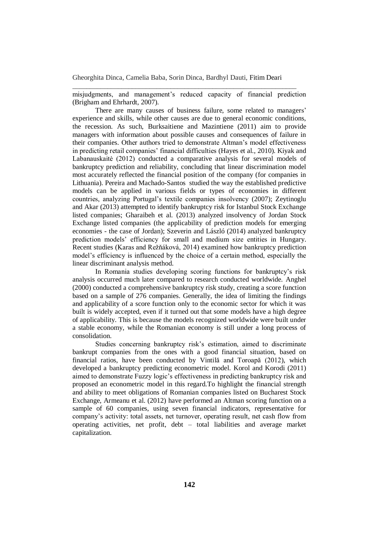misjudgments, and management's reduced capacity of financial prediction (Brigham and Ehrhardt, 2007).

\_\_\_\_\_\_\_\_\_\_\_\_\_\_\_\_\_\_\_\_\_\_\_\_\_\_\_\_\_\_\_\_\_\_\_\_\_\_\_\_\_\_\_\_\_\_\_\_\_\_\_\_\_\_\_\_\_\_\_\_\_\_\_\_

There are many causes of business failure, some related to managers' experience and skills, while other causes are due to general economic conditions, the recession. As such, Burksaitiene and Mazintiene (2011) aim to provide managers with information about possible causes and consequences of failure in their companies. Other authors tried to demonstrate Altman's model effectiveness in predicting retail companies' financial difficulties (Hayes et al., 2010). Kiyak and Labanauskaitė (2012) conducted a comparative analysis for several models of bankruptcy prediction and reliability, concluding that linear discrimination model most accurately reflected the financial position of the company (for companies in Lithuania). Pereira and Machado-Santos studied the way the established predictive models can be applied in various fields or types of economies in different countries, analyzing Portugal's textile companies insolvency (2007); Zeytinoglu and Akar (2013) attempted to identify bankruptcy risk for Istanbul Stock Exchange listed companies; Gharaibeh et al. (2013) analyzed insolvency of Jordan Stock Exchange listed companies (the applicability of prediction models for emerging economies - the case of Jordan); Szeverin and László (2014) analyzed bankruptcy prediction models' efficiency for small and medium size entities in Hungary. Recent studies (Karas and Režňáková, 2014) examined how bankruptcy prediction model's efficiency is influenced by the choice of a certain method, especially the linear discriminant analysis method.

In Romania studies developing scoring functions for bankruptcy's risk analysis occurred much later compared to research conducted worldwide. Anghel (2000) conducted a comprehensive bankruptcy risk study, creating a score function based on a sample of 276 companies. Generally, the idea of limiting the findings and applicability of a score function only to the economic sector for which it was built is widely accepted, even if it turned out that some models have a high degree of applicability. This is because the models recognized worldwide were built under a stable economy, while the Romanian economy is still under a long process of consolidation.

Studies concerning bankruptcy risk's estimation, aimed to discriminate bankrupt companies from the ones with a good financial situation, based on financial ratios, have been conducted by Vintilă and Toroapă (2012), which developed a bankruptcy predicting econometric model. Korol and Korodi (2011) aimed to demonstrate Fuzzy logic's effectiveness in predicting bankruptcy risk and proposed an econometric model in this regard.To highlight the financial strength and ability to meet obligations of Romanian companies listed on Bucharest Stock Exchange, Armeanu et al. (2012) have performed an Altman scoring function on a sample of 60 companies, using seven financial indicators, representative for company's activity: total assets, net turnover, operating result, net cash flow from operating activities, net profit, debt – total liabilities and average market capitalization.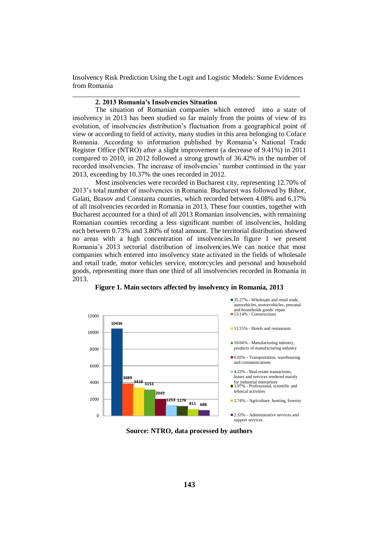Insolvency Risk Prediction Using the Logit and Logistic Models: Some Evidences from Romania \_\_\_\_\_\_\_\_\_\_\_\_\_\_\_\_\_\_\_\_\_\_\_\_\_\_\_\_\_\_\_\_\_\_\_\_\_\_\_\_\_\_\_\_\_\_\_\_\_\_\_\_\_\_\_\_\_\_\_\_\_\_\_\_\_

# **2. 2013 Romania's Insolvencies Situation**

The situation of Romanian companies which entered into a state of insolvency in 2013 has been studied so far mainly from the points of view of its evolution, of insolvencies distribution's fluctuation from a geographical point of view or according to field of activity, many studies in this area belonging to Coface Romania. According to information published by Romania's National Trade Register Office (NTRO) after a slight improvement (a decrease of 9.41%) in 2011 compared to 2010, in 2012 followed a strong growth of 36.42% in the number of recorded insolvencies. The increase of insolvencies' number continued in the year 2013, exceeding by 10.37% the ones recorded in 2012.

Most insolvencies were recorded in Bucharest city, representing 12.70% of 2013's total number of insolvencies in Romania. Bucharest was followed by Bihor, Galati, Brasov and Constanta counties, which recorded between 4.08% and 6.17% of all insolvencies recorded in Romania in 2013. These four counties, together with Bucharest accounted for a third of all 2013 Romanian insolvencies, with remaining Romanian counties recording a less significant number of insolvencies, holding each between 0.73% and 3.80% of total amount. The territorial distribution showed no areas with a high concentration of insolvencies.In figure 1 we present Romania's 2013 sectorial distribution of insolvencies.We can notice that most companies which entered into insolvency state activated in the fields of wholesale and retail trade, motor vehicles service, motorcycles and personal and household goods, representing more than one third of all insolvencies recorded in Romania in 2013.



#### **Figure 1. Main sectors affected by insolvency in Romania, 2013**

**Source: NTRO, data processed by authors**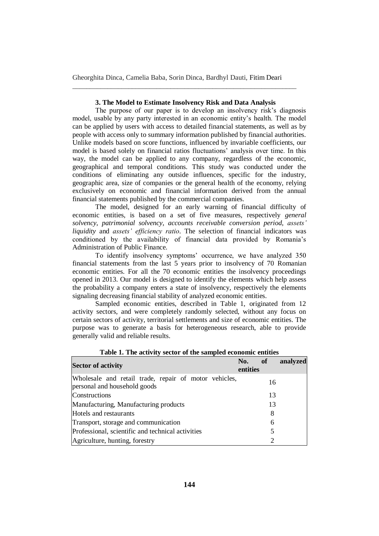## **3. The Model to Estimate Insolvency Risk and Data Analysis**

\_\_\_\_\_\_\_\_\_\_\_\_\_\_\_\_\_\_\_\_\_\_\_\_\_\_\_\_\_\_\_\_\_\_\_\_\_\_\_\_\_\_\_\_\_\_\_\_\_\_\_\_\_\_\_\_\_\_\_\_\_\_\_\_

The purpose of our paper is to develop an insolvency risk's diagnosis model, usable by any party interested in an economic entity's health. The model can be applied by users with access to detailed financial statements, as well as by people with access only to summary information published by financial authorities. Unlike models based on score functions, influenced by invariable coefficients, our model is based solely on financial ratios fluctuations' analysis over time. In this way, the model can be applied to any company, regardless of the economic, geographical and temporal conditions. This study was conducted under the conditions of eliminating any outside influences, specific for the industry, geographic area, size of companies or the general health of the economy, relying exclusively on economic and financial information derived from the annual financial statements published by the commercial companies.

The model, designed for an early warning of financial difficulty of economic entities, is based on a set of five measures, respectively *general solvency*, *patrimonial solvency*, *accounts receivable conversion period*, *assets' liquidity* and *assets' efficiency ratio*. The selection of financial indicators was conditioned by the availability of financial data provided by Romania's Administration of Public Finance.

To identify insolvency symptoms' occurrence, we have analyzed 350 financial statements from the last 5 years prior to insolvency of 70 Romanian economic entities. For all the 70 economic entities the insolvency proceedings opened in 2013. Our model is designed to identify the elements which help assess the probability a company enters a state of insolvency, respectively the elements signaling decreasing financial stability of analyzed economic entities.

Sampled economic entities, described in Table 1, originated from 12 activity sectors, and were completely randomly selected, without any focus on certain sectors of activity, territorial settlements and size of economic entities. The purpose was to generate a basis for heterogeneous research, able to provide generally valid and reliable results.

| <b>Sector of activity</b>                                                             | No.<br>entities | of | analyzed |
|---------------------------------------------------------------------------------------|-----------------|----|----------|
| Wholesale and retail trade, repair of motor vehicles,<br>personal and household goods |                 | 16 |          |
| Constructions                                                                         |                 | 13 |          |
| Manufacturing, Manufacturing products                                                 |                 | 13 |          |
| Hotels and restaurants                                                                |                 | 8  |          |
| Transport, storage and communication                                                  |                 | 6  |          |
| Professional, scientific and technical activities                                     |                 | 5  |          |
| Agriculture, hunting, forestry                                                        |                 | 2  |          |

#### **Table 1. The activity sector of the sampled economic entities**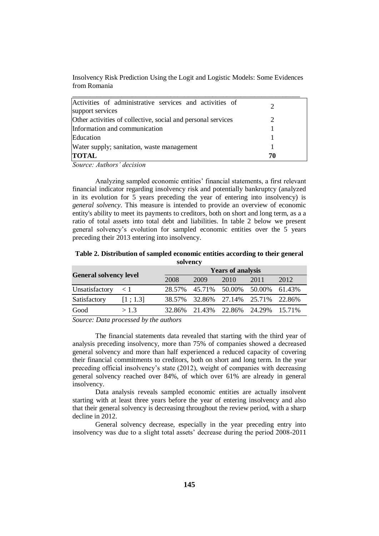| Insolvency Risk Prediction Using the Logit and Logistic Models: Some Evidences |  |  |
|--------------------------------------------------------------------------------|--|--|
| from Romania                                                                   |  |  |

| Activities of administrative services and activities of<br>support services |    |
|-----------------------------------------------------------------------------|----|
| Other activities of collective, social and personal services                |    |
| Information and communication                                               |    |
| Education                                                                   |    |
| Water supply; sanitation, waste management                                  |    |
| <b>TOTAL</b>                                                                | 70 |

*Source: Authors' decision*

Analyzing sampled economic entities' financial statements, a first relevant financial indicator regarding insolvency risk and potentially bankruptcy (analyzed in its evolution for 5 years preceding the year of entering into insolvency) is *general solvency*. This measure is intended to provide an overview of economic entity's ability to meet its payments to creditors, both on short and long term, as a a ratio of total assets into total debt and liabilities. In table 2 below we present general solvency's evolution for sampled economic entities over the  $\overline{5}$  years preceding their 2013 entering into insolvency.

| solvency                      |          |        |                          |                      |        |        |  |  |
|-------------------------------|----------|--------|--------------------------|----------------------|--------|--------|--|--|
| <b>General solvency level</b> |          |        | <b>Years of analysis</b> |                      |        |        |  |  |
|                               |          | 2008   | 2009                     | 2010                 | 2011   | 2012   |  |  |
| Unsatisfactory                | $\leq 1$ | 28.57% |                          | 45.71% 50.00%        | 50.00% | 61.43% |  |  |
| Satisfactory                  | [1; 1.3] | 38.57% |                          | 32.86% 27.14% 25.71% |        | 22.86% |  |  |
| Good                          | >1.3     | 32.86% | 21.43%                   | 22.86%               | 24.29% | 15.71% |  |  |

**Table 2. Distribution of sampled economic entities according to their general** 

*Source: Data processed by the authors*

The financial statements data revealed that starting with the third year of analysis preceding insolvency, more than 75% of companies showed a decreased general solvency and more than half experienced a reduced capacity of covering their financial commitments to creditors, both on short and long term. In the year preceding official insolvency's state (2012), weight of companies with decreasing general solvency reached over 84%, of which over 61% are already in general insolvency.

Data analysis reveals sampled economic entities are actually insolvent starting with at least three years before the year of entering insolvency and also that their general solvency is decreasing throughout the review period, with a sharp decline in 2012.

General solvency decrease, especially in the year preceding entry into insolvency was due to a slight total assets' decrease during the period 2008-2011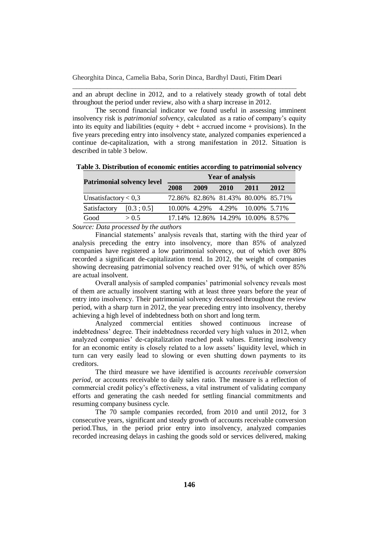and an abrupt decline in 2012, and to a relatively steady growth of total debt throughout the period under review, also with a sharp increase in 2012.

\_\_\_\_\_\_\_\_\_\_\_\_\_\_\_\_\_\_\_\_\_\_\_\_\_\_\_\_\_\_\_\_\_\_\_\_\_\_\_\_\_\_\_\_\_\_\_\_\_\_\_\_\_\_\_\_\_\_\_\_\_\_\_\_

The second financial indicator we found useful in assessing imminent insolvency risk is *patrimonial solvency*, calculated as a ratio of company's equity into its equity and liabilities (equity  $+$  debt  $+$  accrued income  $+$  provisions). In the five years preceding entry into insolvency state, analyzed companies experienced a continue de-capitalization, with a strong manifestation in 2012. Situation is described in table 3 below.

| <b>Patrimonial solvency level</b> |            | <b>Year of analysis</b> |      |      |                                        |      |  |
|-----------------------------------|------------|-------------------------|------|------|----------------------------------------|------|--|
|                                   |            | 2008                    | 2009 | 2010 | 2011                                   | 2012 |  |
| Unsatisfactory $< 0.3$            |            |                         |      |      | 72.86% 82.86% 81.43% 80.00% 85.71%     |      |  |
| Satisfactory                      | [0.3; 0.5] |                         |      |      | 10.00% 4.29% 4.29% 10.00% 5.71%        |      |  |
| Good                              | > 0.5      |                         |      |      | 17.14\% 12.86\% 14.29\% 10.00\% 8.57\% |      |  |

**Table 3. Distribution of economic entities according to patrimonial solvency**

*Source: Data processed by the authors*

Financial statements' analysis reveals that, starting with the third year of analysis preceding the entry into insolvency, more than 85% of analyzed companies have registered a low patrimonial solvency, out of which over 80% recorded a significant de-capitalization trend. In 2012, the weight of companies showing decreasing patrimonial solvency reached over 91%, of which over 85% are actual insolvent.

Overall analysis of sampled companies' patrimonial solvency reveals most of them are actually insolvent starting with at least three years before the year of entry into insolvency. Their patrimonial solvency decreased throughout the review period, with a sharp turn in 2012, the year preceding entry into insolvency, thereby achieving a high level of indebtedness both on short and long term.

Analyzed commercial entities showed continuous increase of indebtedness' degree. Their indebtedness recorded very high values in 2012, when analyzed companies' de-capitalization reached peak values. Entering insolvency for an economic entity is closely related to a low assets' liquidity level, which in turn can very easily lead to slowing or even shutting down payments to its creditors.

The third measure we have identified is *accounts receivable conversion period*, or accounts receivable to daily sales ratio. The measure is a reflection of commercial credit policy's effectiveness, a vital instrument of validating company efforts and generating the cash needed for settling financial commitments and resuming company business cycle.

The 70 sample companies recorded, from 2010 and until 2012, for 3 consecutive years, significant and steady growth of accounts receivable conversion period.Thus, in the period prior entry into insolvency, analyzed companies recorded increasing delays in cashing the goods sold or services delivered, making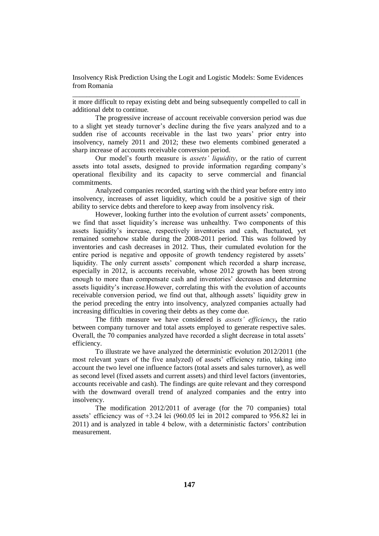\_\_\_\_\_\_\_\_\_\_\_\_\_\_\_\_\_\_\_\_\_\_\_\_\_\_\_\_\_\_\_\_\_\_\_\_\_\_\_\_\_\_\_\_\_\_\_\_\_\_\_\_\_\_\_\_\_\_\_\_\_\_\_\_\_

it more difficult to repay existing debt and being subsequently compelled to call in additional debt to continue.

The progressive increase of account receivable conversion period was due to a slight yet steady turnover's decline during the five years analyzed and to a sudden rise of accounts receivable in the last two years' prior entry into insolvency, namely 2011 and 2012; these two elements combined generated a sharp increase of accounts receivable conversion period.

Our model's fourth measure is *assets' liquidity*, or the ratio of current assets into total assets, designed to provide information regarding company's operational flexibility and its capacity to serve commercial and financial commitments.

Analyzed companies recorded, starting with the third year before entry into insolvency, increases of asset liquidity, which could be a positive sign of their ability to service debts and therefore to keep away from insolvency risk.

However, looking further into the evolution of current assets' components, we find that asset liquidity's increase was unhealthy. Two components of this assets liquidity's increase, respectively inventories and cash, fluctuated, yet remained somehow stable during the 2008-2011 period. This was followed by inventories and cash decreases in 2012. Thus, their cumulated evolution for the entire period is negative and opposite of growth tendency registered by assets' liquidity. The only current assets' component which recorded a sharp increase, especially in 2012, is accounts receivable, whose 2012 growth has been strong enough to more than compensate cash and inventories' decreases and determine assets liquidity's increase.However, correlating this with the evolution of accounts receivable conversion period, we find out that, although assets' liquidity grew in the period preceding the entry into insolvency, analyzed companies actually had increasing difficulties in covering their debts as they come due.

The fifth measure we have considered is *assets' efficiency***,** the ratio between company turnover and total assets employed to generate respective sales. Overall, the 70 companies analyzed have recorded a slight decrease in total assets' efficiency.

To illustrate we have analyzed the deterministic evolution 2012/2011 (the most relevant years of the five analyzed) of assets' efficiency ratio, taking into account the two level one influence factors (total assets and sales turnover), as well as second level (fixed assets and current assets) and third level factors (inventories, accounts receivable and cash). The findings are quite relevant and they correspond with the downward overall trend of analyzed companies and the entry into insolvency.

The modification 2012/2011 of average (for the 70 companies) total assets' efficiency was of +3.24 lei (960.05 lei in 2012 compared to 956.82 lei in 2011) and is analyzed in table 4 below, with a deterministic factors' contribution measurement.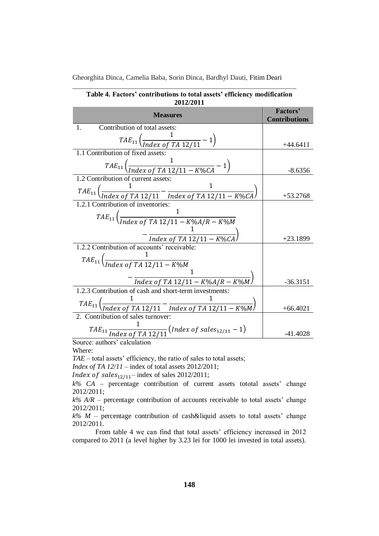| <b>Measures</b>                                                                                                       | Factors'<br><b>Contributions</b> |
|-----------------------------------------------------------------------------------------------------------------------|----------------------------------|
| Contribution of total assets:<br>$\mathbf{1}$                                                                         |                                  |
| $TAE_{11}\left(\frac{1}{Index\ of\ TA\ 12/11}-1\right)$                                                               | $+44.6411$                       |
| 1.1 Contribution of fixed assets:                                                                                     |                                  |
| $\mathit{TAE}_{11}\left(\frac{1}{\mathit{Index\ of\ TA\ 12/11-K\%CA}}-1\right)$                                       | $-8.6356$                        |
| $\overline{1.2}$ Contribution of current assets:                                                                      |                                  |
| $\mathit{TAE}_{11}\left(\frac{1}{\mathit{Index\ of\ TA\ 12/11}}-\frac{1}{\mathit{Index\ of\ TA\ 12/11-K\%CA}}\right)$ | $+53.2768$                       |
| 1.2.1 Contribution of inventories:                                                                                    |                                  |
| $TAE_{11}$ $\left(\frac{1}{Index\ of\ TA\ 12/11 - K\%A/R - K\%M}\right)$                                              |                                  |
|                                                                                                                       |                                  |
| $-\frac{1}{Index\ of\ TA\ 12/11-K\%CA}$                                                                               | $+23.1899$                       |
| 1.2.2 Contribution of accounts' receivable:                                                                           |                                  |
| $TAE_{11}$ $\left(\frac{1}{Index\ of\ TA\ 12/11 - K\%M}\right)$                                                       |                                  |
|                                                                                                                       |                                  |
| $-\frac{1}{Index of TA 12/11 - K\%A/R - K\%M}$                                                                        | $-36.3151$                       |
| 1.2.3 Contribution of cash and short-term investments:                                                                |                                  |
|                                                                                                                       |                                  |
| ${TAE}_{11}\left(\frac{1}{Index~of~TA~12/11}-\frac{1}{Index~of~TA~12/11-K\%M}\right)$                                 | $+66.4021$                       |
| 2. Contribution of sales turnover:                                                                                    |                                  |
| $TAE_{11} \frac{1}{Index~of~TA~12/11} (Index~of~sales_{12/11}-1)$                                                     | $-41.4028$                       |
| $\overline{\text{Source: authors'}$ calculation                                                                       |                                  |

| Table 4. Factors' contributions to total assets' efficiency modification |
|--------------------------------------------------------------------------|
| 2012/2011                                                                |

Source: authors' calculation

Where:

*TAE* – total assets' efficiency, the ratio of sales to total assets;

*Index of TA 12/11* – index of total assets 2012/2011;

*Index of sales* $_{12/11}$ – index of sales 2012/2011;

*k% CA* – percentage contribution of current assets tototal assets' change 2012/2011;

 $k\%$   $A/R$  – percentage contribution of accounts receivable to total assets' change 2012/2011;

 $k\%$  *M* – percentage contribution of cash&liquid assets to total assets' change 2012/2011.

From table 4 we can find that total assets' efficiency increased in 2012 compared to 2011 (a level higher by 3.23 lei for 1000 lei invested in total assets).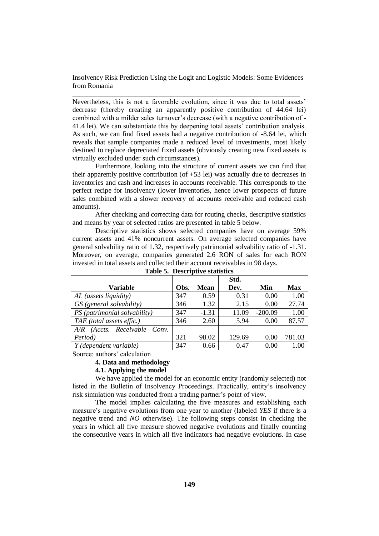\_\_\_\_\_\_\_\_\_\_\_\_\_\_\_\_\_\_\_\_\_\_\_\_\_\_\_\_\_\_\_\_\_\_\_\_\_\_\_\_\_\_\_\_\_\_\_\_\_\_\_\_\_\_\_\_\_\_\_\_\_\_\_\_\_

Nevertheless, this is not a favorable evolution, since it was due to total assets' decrease (thereby creating an apparently positive contribution of 44.64 lei) combined with a milder sales turnover's decrease (with a negative contribution of - 41.4 lei). We can substantiate this by deepening total assets' contribution analysis. As such, we can find fixed assets had a negative contribution of -8.64 lei, which reveals that sample companies made a reduced level of investments, most likely destined to replace depreciated fixed assets (obviously creating new fixed assets is virtually excluded under such circumstances).

Furthermore, looking into the structure of current assets we can find that their apparently positive contribution (of +53 lei) was actually due to decreases in inventories and cash and increases in accounts receivable. This corresponds to the perfect recipe for insolvency (lower inventories, hence lower prospects of future sales combined with a slower recovery of accounts receivable and reduced cash amounts).

After checking and correcting data for routing checks, descriptive statistics and means by year of selected ratios are presented in table 5 below.

Descriptive statistics shows selected companies have on average 59% current assets and 41% noncurrent assets. On average selected companies have general solvability ratio of 1.32, respectively patrimonial solvability ratio of -1.31. Moreover, on average, companies generated 2.6 RON of sales for each RON invested in total assets and collected their account receivables in 98 days.

|                                 |      |         | Std.   |           |            |
|---------------------------------|------|---------|--------|-----------|------------|
| <b>Variable</b>                 | Obs. | Mean    | Dev.   | Min       | <b>Max</b> |
| AL (assets liquidity)           | 347  | 0.59    | 0.31   | 0.00      | 1.00       |
| GS (general solvability)        | 346  | 1.32    | 2.15   | 0.00      | 27.74      |
| PS (patrimonial solvability)    | 347  | $-1.31$ | 11.09  | $-200.09$ | 1.00       |
| TAE (total assets effic.)       | 346  | 2.60    | 5.94   | 0.00      | 87.57      |
| (Accts. Receivable Conv.<br>A/R |      |         |        |           |            |
| Period)                         | 321  | 98.02   | 129.69 | 0.00      | 781.03     |
| Y (dependent variable)          | 347  | 0.66    | 0.47   | 0.00      | $1.00\,$   |

| Table 5. Descriptive statistics |  |
|---------------------------------|--|
|---------------------------------|--|

Source: authors' calculation

#### **4. Data and methodology**

### **4.1. Applying the model**

We have applied the model for an economic entity (randomly selected) not listed in the Bulletin of Insolvency Proceedings. Practically, entity's insolvency risk simulation was conducted from a trading partner's point of view.

The model implies calculating the five measures and establishing each measure's negative evolutions from one year to another (labeled *YES* if there is a negative trend and *NO* otherwise). The following steps consist in checking the years in which all five measure showed negative evolutions and finally counting the consecutive years in which all five indicators had negative evolutions. In case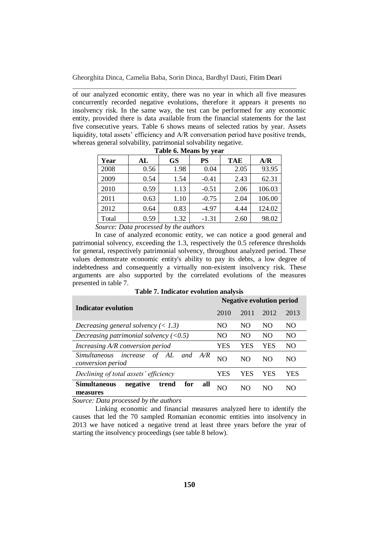\_\_\_\_\_\_\_\_\_\_\_\_\_\_\_\_\_\_\_\_\_\_\_\_\_\_\_\_\_\_\_\_\_\_\_\_\_\_\_\_\_\_\_\_\_\_\_\_\_\_\_\_\_\_\_\_\_\_\_\_\_\_\_\_

of our analyzed economic entity, there was no year in which all five measures concurrently recorded negative evolutions, therefore it appears it presents no insolvency risk. In the same way, the test can be performed for any economic entity, provided there is data available from the financial statements for the last five consecutive years. Table 6 shows means of selected ratios by year. Assets liquidity, total assets' efficiency and A/R conversation period have positive trends, whereas general solvability, patrimonial solvability negative.

|                                                                                                                                                                                                                                                                                                                                   | rabic of tyreams by year |           |           |            |        |  |  |
|-----------------------------------------------------------------------------------------------------------------------------------------------------------------------------------------------------------------------------------------------------------------------------------------------------------------------------------|--------------------------|-----------|-----------|------------|--------|--|--|
| Year                                                                                                                                                                                                                                                                                                                              | AL                       | <b>GS</b> | <b>PS</b> | <b>TAE</b> | A/R    |  |  |
| 2008                                                                                                                                                                                                                                                                                                                              | 0.56                     | 1.98      | 0.04      | 2.05       | 93.95  |  |  |
| 2009                                                                                                                                                                                                                                                                                                                              | 0.54                     | 1.54      | $-0.41$   | 2.43       | 62.31  |  |  |
| 2010                                                                                                                                                                                                                                                                                                                              | 0.59                     | 1.13      | $-0.51$   | 2.06       | 106.03 |  |  |
| 2011                                                                                                                                                                                                                                                                                                                              | 0.63                     | 1.10      | $-0.75$   | 2.04       | 106.00 |  |  |
| 2012                                                                                                                                                                                                                                                                                                                              | 0.64                     | 0.83      | $-4.97$   | 4.44       | 124.02 |  |  |
| Total                                                                                                                                                                                                                                                                                                                             | 0.59                     | 1.32      | $-1.31$   | 2.60       | 98.02  |  |  |
| $\mathbf{r}$ and $\mathbf{r}$<br>$\mathbf{D}$ and $\mathbf{D}$ and $\mathbf{D}$ and $\mathbf{D}$ and $\mathbf{D}$ and $\mathbf{D}$ and $\mathbf{D}$ and $\mathbf{D}$ and $\mathbf{D}$ and $\mathbf{D}$ and $\mathbf{D}$ and $\mathbf{D}$ and $\mathbf{D}$ and $\mathbf{D}$ and $\mathbf{D}$ and $\mathbf{D}$ and $\mathbf{D}$ and |                          |           |           |            |        |  |  |

**Table 6. Means by year**

*Source: Data processed by the authors*

In case of analyzed economic entity, we can notice a good general and patrimonial solvency, exceeding the 1.3, respectively the 0.5 reference thresholds for general, respectively patrimonial solvency, throughout analyzed period. These values demonstrate economic entity's ability to pay its debts, a low degree of indebtedness and consequently a virtually non-existent insolvency risk. These arguments are also supported by the correlated evolutions of the measures presented in table 7.

|                                                                      |      | <b>Negative evolution period</b> |      |      |  |
|----------------------------------------------------------------------|------|----------------------------------|------|------|--|
| Indicator evolution                                                  | 2010 | 2011                             | 2012 | 2013 |  |
| Decreasing general solvency $(< 1.3)$                                | NO.  | NO.                              | NO.  | NO.  |  |
| Decreasing patrimonial solvency $(<0.5)$                             | NO.  | NO.                              | NO   | NO.  |  |
| Increasing A/R conversion period                                     | YES  | YES                              | YES  | NO   |  |
| Simultaneous increase<br>AL<br>οf<br>A/R<br>and<br>conversion period | NO.  | NO.                              | NO.  | NO.  |  |
| Declining of total assets' efficiency                                | YES  | YES                              | YES  | YES  |  |
| <b>Simultaneous</b><br>negative<br>for<br>all<br>trend<br>measures   | NO   | NΟ                               | NΟ   | NΟ   |  |

*Source: Data processed by the authors*

Linking economic and financial measures analyzed here to identify the causes that led the 70 sampled Romanian economic entities into insolvency in 2013 we have noticed a negative trend at least three years before the year of starting the insolvency proceedings (see table 8 below).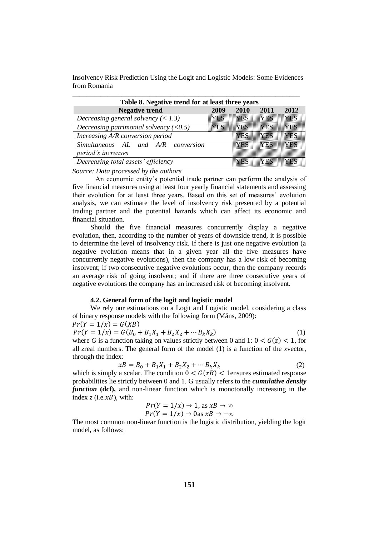| Table 8. Negative trend for at least three years |      |      |      |      |  |  |
|--------------------------------------------------|------|------|------|------|--|--|
| <b>Negative trend</b>                            | 2009 | 2010 | 2011 | 2012 |  |  |
| Decreasing general solvency $(< 1.3)$            |      | KRIK |      |      |  |  |
| Decreasing patrimonial solvency $(<0.5)$         |      |      |      |      |  |  |
| Increasing A/R conversion period                 |      |      |      |      |  |  |
| Simultaneous AL and A/R conversion               |      |      |      |      |  |  |
| period's increases                               |      |      |      |      |  |  |
| Decreasing total assets' efficiency              |      |      |      |      |  |  |

*Source: Data processed by the authors*

An economic entity's potential trade partner can perform the analysis of five financial measures using at least four yearly financial statements and assessing their evolution for at least three years. Based on this set of measures' evolution analysis, we can estimate the level of insolvency risk presented by a potential trading partner and the potential hazards which can affect its economic and financial situation.

Should the five financial measures concurrently display a negative evolution, then, according to the number of years of downside trend, it is possible to determine the level of insolvency risk. If there is just one negative evolution (a negative evolution means that in a given year all the five measures have concurrently negative evolutions), then the company has a low risk of becoming insolvent; if two consecutive negative evolutions occur, then the company records an average risk of going insolvent; and if there are three consecutive years of negative evolutions the company has an increased risk of becoming insolvent.

#### **4.2. General form of the logit and logistic model**

We rely our estimations on a Logit and Logistic model, considering a class of binary response models with the following form (Måns, 2009):

 $Pr(Y = 1/x) = G(XB)$  $Pr(Y = 1/x) = G(B_0 + B_1X_1 + B_2X_2 + \cdots B_kX_k)$  $)$  (1) where *G* is a function taking on values strictly between 0 and 1:  $0 < G(z) < 1$ , for all *z*real numbers. The general form of the model (1) is a function of the *x*vector, through the index:

$$
xB = B_0 + B_1 X_1 + B_2 X_2 + \cdots B_k X_k \tag{2}
$$

which is simply a scalar. The condition  $0 < G(xB) < 1$ ensures estimated response probabilities lie strictly between 0 and 1. G usually refers to the *cumulative density function* (def), and non-linear function which is monotonally increasing in the index  $z$  (i.e. $xB$ ), with:

$$
Pr(Y = 1/x) \to 1, \text{ as } xB \to \infty
$$
  
 
$$
Pr(Y = 1/x) \to 0 \text{ as } xB \to -\infty
$$

The most common non-linear function is the logistic distribution, yielding the logit model, as follows: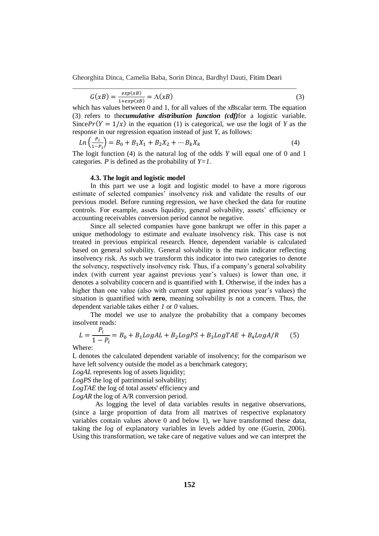\_\_\_\_\_\_\_\_\_\_\_\_\_\_\_\_\_\_\_\_\_\_\_\_\_\_\_\_\_\_\_\_\_\_\_\_\_\_\_\_\_\_\_\_\_\_\_\_\_\_\_\_\_\_\_\_\_\_\_\_\_\_\_\_

$$
G(xB) = \frac{exp(xB)}{1 + exp(xB)} = \Lambda(xB)
$$
\n(3)

which has values between 0 and 1, for all values of the *xB*scalar term*.* The equation (3) refers to the*cumulative distribution function (cdf)*for a logistic variable. Since  $Pr(Y = 1/x)$  in the equation (1) is categorical, we use the logit of *Y* as the response in our regression equation instead of just *Y*, as follows:

$$
Ln\left(\frac{P_i}{1 - P_i}\right) = B_0 + B_1 X_1 + B_2 X_2 + \cdots B_k X_k
$$
\n(4)

The logit function (4) is the natural log of the odds *Y* will equal one of 0 and 1 categories. *P* is defined as the probability of  $Y=1$ .

#### **4.3. The logit and logistic model**

In this part we use a logit and logistic model to have a more rigorous estimate of selected companies' insolvency risk and validate the results of our previous model. Before running regression, we have checked the data for routine controls. For example, assets liquidity, general solvability, assets' efficiency or accounting receivables conversion period cannot be negative.

Since all selected companies have gone bankrupt we offer in this paper a unique methodology to estimate and evaluate insolvency risk. This case is not treated in previous empirical research. Hence, dependent variable is calculated based on general solvability. General solvability is the main indicator reflecting insolvency risk. As such we transform this indicator into two categories to denote the solvency, respectively insolvency risk. Thus, if a company's general solvability index (with current year against previous year's values) is lower than one, it denotes a solvability concern and is quantified with **1**. Otherwise, if the index has a higher than one value (also with current year against previous year's values) the situation is quantified with **zero**, meaning solvability is not a concern. Thus, the dependent variable takes either *1* or *0* values.

The model we use to analyze the probability that a company becomes insolvent reads:

$$
L = \frac{P_i}{1 - P_i} = B_0 + B_1 LogAL + B_2 LogPS + B_3 LogTAE + B_4 LogA/R
$$
 (5)

Where:

L denotes the calculated dependent variable of insolvency; for the comparison we have left solvency outside the model as a benchmark category;

*LogAL* represents log of assets liquidity;

*LogPS* the log of patrimonial solvability;

*LogTAE* the log of total assets' efficiency and

*LogAR* the log of A/R conversion period.

As logging the level of data variables results in negative observations, (since a large proportion of data from all matrixes of respective explanatory variables contain values above 0 and below 1), we have transformed these data, taking the *log* of explanatory variables in levels added by one (Guerin, 2006). Using this transformation, we take care of negative values and we can interpret the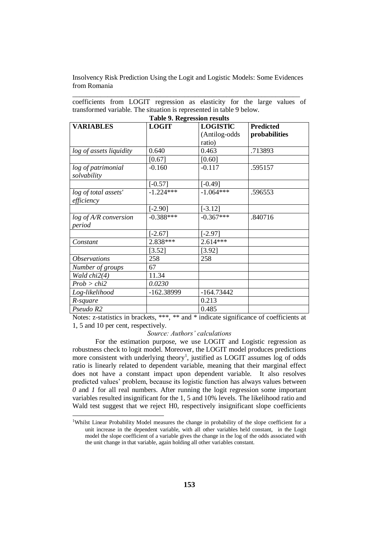\_\_\_\_\_\_\_\_\_\_\_\_\_\_\_\_\_\_\_\_\_\_\_\_\_\_\_\_\_\_\_\_\_\_\_\_\_\_\_\_\_\_\_\_\_\_\_\_\_\_\_\_\_\_\_\_\_\_\_\_\_\_\_\_\_

coefficients from LOGIT regression as elasticity for the large values of transformed variable. The situation is represented in table 9 below. **Table 9. Regression results**

| Table 9. Regression results       |              |                 |                  |  |  |  |
|-----------------------------------|--------------|-----------------|------------------|--|--|--|
| <b>VARIABLES</b>                  | <b>LOGIT</b> | <b>LOGISTIC</b> | <b>Predicted</b> |  |  |  |
|                                   |              | (Antilog-odds   | probabilities    |  |  |  |
|                                   |              | ratio)          |                  |  |  |  |
| log of assets liquidity           | 0.640        | 0.463           | .713893          |  |  |  |
|                                   | [0.67]       | [0.60]          |                  |  |  |  |
| log of patrimonial<br>solvability | $-0.160$     | $-0.117$        | .595157          |  |  |  |
|                                   | $[-0.57]$    | $[-0.49]$       |                  |  |  |  |
| log of total assets'              | $-1.224***$  | $-1.064***$     | .596553          |  |  |  |
| efficiency                        |              |                 |                  |  |  |  |
|                                   | $[-2.90]$    | $[-3.12]$       |                  |  |  |  |
| log of A/R conversion             | $-0.388***$  | $-0.367***$     | .840716          |  |  |  |
| period                            |              |                 |                  |  |  |  |
|                                   | $[-2.67]$    | $[-2.97]$       |                  |  |  |  |
| Constant                          | 2.838***     | $2.614***$      |                  |  |  |  |
|                                   | [3.52]       | [3.92]          |                  |  |  |  |
| <b>Observations</b>               | 258          | 258             |                  |  |  |  |
| Number of groups                  | 67           |                 |                  |  |  |  |
| Wald chi2(4)                      | 11.34        |                 |                  |  |  |  |
| Prob > chi2                       | 0.0230       |                 |                  |  |  |  |
| Log-likelihood                    | -162.38999   | $-164.73442$    |                  |  |  |  |
| R-square                          |              | 0.213           |                  |  |  |  |
| Pseudo R2                         |              | 0.485           |                  |  |  |  |

Notes: z-statistics in brackets, \*\*\*, \*\* and \* indicate significance of coefficients at 1, 5 and 10 per cent, respectively.

### *Source: Authors' calculations*

For the estimation purpose, we use LOGIT and Logistic regression as robustness check to logit model. Moreover, the LOGIT model produces predictions more consistent with underlying theory<sup>1</sup>, justified as LOGIT assumes log of odds ratio is linearly related to dependent variable, meaning that their marginal effect does not have a constant impact upon dependent variable. It also resolves predicted values' problem, because its logistic function has always values between *0* and *1* for all real numbers. After running the logit regression some important variables resulted insignificant for the 1, 5 and 10% levels. The likelihood ratio and Wald test suggest that we reject H0, respectively insignificant slope coefficients

-

<sup>&</sup>lt;sup>1</sup>Whilst Linear Probability Model measures the change in probability of the slope coefficient for a unit increase in the dependent variable, with all other variables held constant, in the Logit model the slope coefficient of a variable gives the change in the log of the odds associated with the unit change in that variable, again holding all other variables constant.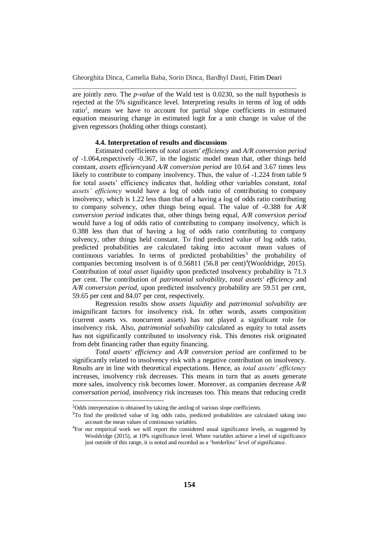\_\_\_\_\_\_\_\_\_\_\_\_\_\_\_\_\_\_\_\_\_\_\_\_\_\_\_\_\_\_\_\_\_\_\_\_\_\_\_\_\_\_\_\_\_\_\_\_\_\_\_\_\_\_\_\_\_\_\_\_\_\_\_\_

are jointly zero. The *p-value* of the Wald test is 0.0230, so the null hypothesis is rejected at the 5% significance level. Interpreting results in terms of log of odds ratio<sup>2</sup>, means we have to account for partial slope coefficients in estimated equation measuring change in estimated logit for a unit change in value of the given regressors (holding other things constant).

### **4.4. Interpretation of results and discussions**

Estimated coefficients of *total assets' efficiency* and *A/R conversion period of* -1.064,respectively -0.367, in the logistic model mean that, other things held constant, *assets efficiency*and *A/R conversion period* are 10.64 and 3.67 times less likely to contribute to company insolvency. Thus, the value of  $-1.224$  from table 9 for total assets' efficiency indicates that, holding other variables constant, *total assets' efficiency* would have a log of odds ratio of contributing to company insolvency, which is 1.22 less than that of a having a log of odds ratio contributing to company solvency, other things being equal. The value of -0.388 for *A/R conversion period* indicates that, other things being equal, *A/R conversion period* would have a log of odds ratio of contributing to company insolvency, which is 0.388 less than that of having a log of odds ratio contributing to company solvency, other things held constant. To find predicted value of log odds ratio, predicted probabilities are calculated taking into account mean values of  $\overline{\text{continuous}}$  variables. In terms of predicted probabilities<sup>3</sup> the probability of companies becoming insolvent is of  $0.56811$  (56.8 per cent)<sup>4</sup>(Wooldridge, 2015). Contribution of *total asset liquidity* upon predicted insolvency probability is 71.3 per cent. The contribution of *patrimonial solvability*, *total assets' efficiency* and *A/R conversion period*, upon predicted insolvency probability are 59.51 per cent, 59.65 per cent and 84.07 per cent, respectively.

Regression results show *assets liquidity* and *patrimonial solvability* are insignificant factors for insolvency risk. In other words, assets composition (current assets vs. noncurrent assets) has not played a significant role for insolvency risk. Also, *patrimonial solvability* calculated as equity to total assets has not significantly contributed to insolvency risk. This denotes risk originated from debt financing rather than equity financing.

*Total assets' efficiency* and *A/R conversion period* are confirmed to be significantly related to insolvency risk with a negative contribution on insolvency. Results are in line with theoretical expectations. Hence, as *total assets' efficiency* increases, insolvency risk decreases. This means in turn that as assets generate more sales, insolvency risk becomes lower. Moreover, as companies decrease *A/R conversation period,* insolvency risk increases too. This means that reducing credit

l

<sup>&</sup>lt;sup>2</sup>Odds interpretation is obtained by taking the antilog of various slope coefficients.

<sup>&</sup>lt;sup>3</sup>To find the predicted value of log odds ratio, predicted probabilities are calculated taking into account the mean values of continuous variables.

<sup>4</sup>For our empirical work we will report the considered usual significance levels, as suggested by Wooldridge (2015), at 10% significance level. Where variables achieve a level of significance just outside of this range, it is noted and recorded as a 'borderline' level of significance.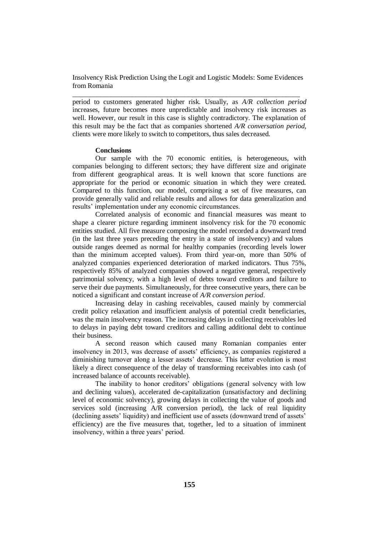\_\_\_\_\_\_\_\_\_\_\_\_\_\_\_\_\_\_\_\_\_\_\_\_\_\_\_\_\_\_\_\_\_\_\_\_\_\_\_\_\_\_\_\_\_\_\_\_\_\_\_\_\_\_\_\_\_\_\_\_\_\_\_\_\_

period to customers generated higher risk. Usually, as *A/R collection period* increases, future becomes more unpredictable and insolvency risk increases as well. However, our result in this case is slightly contradictory. The explanation of this result may be the fact that as companies shortened *A/R conversation period,*  clients were more likely to switch to competitors, thus sales decreased.

## **Conclusions**

Our sample with the 70 economic entities, is heterogeneous, with companies belonging to different sectors; they have different size and originate from different geographical areas. It is well known that score functions are appropriate for the period or economic situation in which they were created. Compared to this function, our model, comprising a set of five measures, can provide generally valid and reliable results and allows for data generalization and results' implementation under any economic circumstances.

Correlated analysis of economic and financial measures was meant to shape a clearer picture regarding imminent insolvency risk for the 70 economic entities studied. All five measure composing the model recorded a downward trend (in the last three years preceding the entry in a state of insolvency) and values outside ranges deemed as normal for healthy companies (recording levels lower than the minimum accepted values). From third year-on, more than 50% of analyzed companies experienced deterioration of marked indicators. Thus 75%, respectively 85% of analyzed companies showed a negative general, respectively patrimonial solvency, with a high level of debts toward creditors and failure to serve their due payments. Simultaneously, for three consecutive years, there can be noticed a significant and constant increase of *A/R conversion period*.

Increasing delay in cashing receivables, caused mainly by commercial credit policy relaxation and insufficient analysis of potential credit beneficiaries, was the main insolvency reason. The increasing delays in collecting receivables led to delays in paying debt toward creditors and calling additional debt to continue their business.

A second reason which caused many Romanian companies enter insolvency in 2013, was decrease of assets' efficiency, as companies registered a diminishing turnover along a lesser assets' decrease. This latter evolution is most likely a direct consequence of the delay of transforming receivables into cash (of increased balance of accounts receivable).

The inability to honor creditors' obligations (general solvency with low and declining values), accelerated de-capitalization (unsatisfactory and declining level of economic solvency), growing delays in collecting the value of goods and services sold (increasing A/R conversion period), the lack of real liquidity (declining assets' liquidity) and inefficient use of assets (downward trend of assets' efficiency) are the five measures that, together, led to a situation of imminent insolvency, within a three years' period.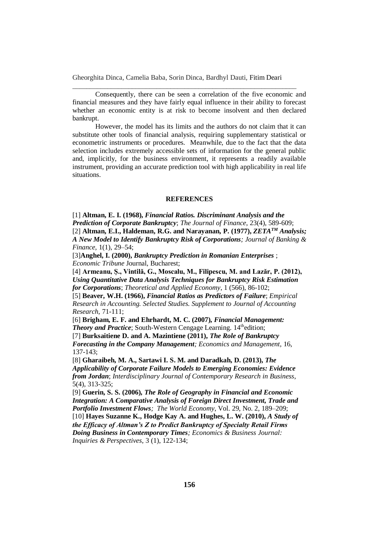\_\_\_\_\_\_\_\_\_\_\_\_\_\_\_\_\_\_\_\_\_\_\_\_\_\_\_\_\_\_\_\_\_\_\_\_\_\_\_\_\_\_\_\_\_\_\_\_\_\_\_\_\_\_\_\_\_\_\_\_\_\_\_\_

Consequently, there can be seen a correlation of the five economic and financial measures and they have fairly equal influence in their ability to forecast whether an economic entity is at risk to become insolvent and then declared bankrupt.

However, the model has its limits and the authors do not claim that it can substitute other tools of financial analysis, requiring supplementary statistical or econometric instruments or procedures. Meanwhile, due to the fact that the data selection includes extremely accessible sets of information for the general public and, implicitly, for the business environment, it represents a readily available instrument, providing an accurate prediction tool with high applicability in real life situations.

# **REFERENCES**

[1] **Altman, E. I. (1968),** *Financial Ratios. Discriminant Analysis and the Prediction of Corporate Bankruptcy*; *The Journal of Finance*, 23(4), 589-609; [2] **Altman, E.I., [Haldeman,](http://www.sciencedirect.com/science/article/pii/0378426677900176) R.G. and Narayanan, P. (1977),** *ZETATM Analysis; A New Model to Identify Bankruptcy Risk of Corporations; Journal of [Banking](http://www.sciencedirect.com/science/journal/03784266) & [Finance](http://www.sciencedirect.com/science/journal/03784266)*, [1\(1\)](http://www.sciencedirect.com/science/journal/03784266/1/1), 29–54;

[3]**Anghel, I. (2000),** *Bankruptcy Prediction in Romanian Enterprises* ; *Economic Tribune* Journal, Bucharest;

[4] **Armeanu, Ș., Vintilă, G., Moscalu, M., Filipescu, M. and Lazăr, P. (2012),**  *Using Quantitative Data Analysis Techniques for Bankruptcy Risk Estimation for Corporations*; *Theoretical and Applied Economy*, 1 (566), 86-102;

[5] **Beaver, W.H. (1966),** *Financial Ratios as Predictors of Failure*; *Empirical Research in Accounting. Selected Studies. Supplement to Journal of Accounting Research*, 71-111;

[6] **Brigham, E. F. and Ehrhardt, M. C. (2007),** *Financial Management:*  **Theory and Practice**; South-Western Cengage Learning. 14<sup>th</sup>edition; [7] **Burksaitiene D. and A. Mazintiene (2011),** *The Role of Bankruptcy* 

*Forecasting in the Company Management; Economics and Management*, 16, 137-143;

[8] **Gharaibeh, M. A., Sartawi I. S. M. and Daradkah, D. (2013),** *The Applicability of Corporate Failure Models to Emerging Economies: Evidence from Jordan*; *Interdisciplinary Journal of Contemporary Research in Business*, 5(4), 313-325;

[9] **Guerin, S. S. (2006),** *The Role of Geography in Financial and Economic Integration: A Comparative Analysis of Foreign Direct Investment, Trade and Portfolio Investment Flows; The World Economy*, Vol. 29, No. 2, 189–209; [10] **Hayes Suzanne K., Hodge Kay A. and Hughes, L. W. (2010),** *A Study of* 

*the Efficacy of Altman's Z to Predict Bankruptcy of Specialty Retail Firms Doing Business in Contemporary Times; Economics & Business Journal: Inquiries & Perspectives*, 3 (1), 122-134;